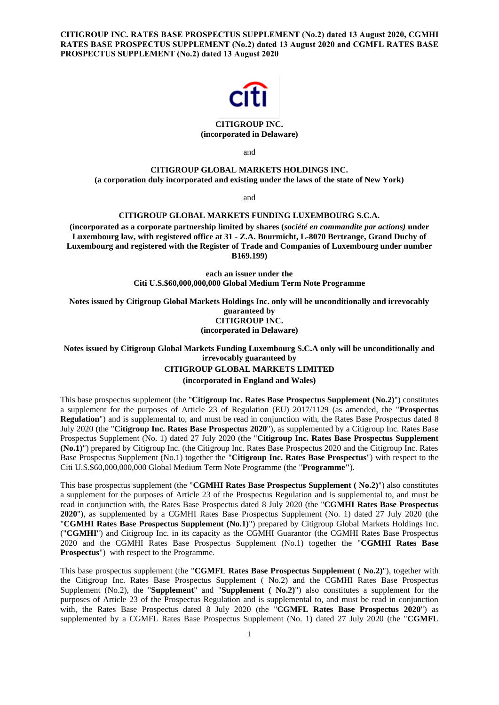**CITIGROUP INC. RATES BASE PROSPECTUS SUPPLEMENT (No.2) dated 13 August 2020, CGMHI RATES BASE PROSPECTUS SUPPLEMENT (No.2) dated 13 August 2020 and CGMFL RATES BASE PROSPECTUS SUPPLEMENT (No.2) dated 13 August 2020**



## **CITIGROUP INC. (incorporated in Delaware)**

and

# **CITIGROUP GLOBAL MARKETS HOLDINGS INC.**

**(a corporation duly incorporated and existing under the laws of the state of New York)**

and

## **CITIGROUP GLOBAL MARKETS FUNDING LUXEMBOURG S.C.A.**

**(incorporated as a corporate partnership limited by shares (***société en commandite par actions)* **under Luxembourg law, with registered office at 31 - Z.A. Bourmicht, L-8070 Bertrange, Grand Duchy of Luxembourg and registered with the Register of Trade and Companies of Luxembourg under number B169.199)**

> **each an issuer under the Citi U.S.\$60,000,000,000 Global Medium Term Note Programme**

**Notes issued by Citigroup Global Markets Holdings Inc. only will be unconditionally and irrevocably guaranteed by CITIGROUP INC. (incorporated in Delaware)**

**Notes issued by Citigroup Global Markets Funding Luxembourg S.C.A only will be unconditionally and irrevocably guaranteed by**

#### **CITIGROUP GLOBAL MARKETS LIMITED**

**(incorporated in England and Wales)**

This base prospectus supplement (the "**Citigroup Inc. Rates Base Prospectus Supplement (No.2)**") constitutes a supplement for the purposes of Article 23 of Regulation (EU) 2017/1129 (as amended, the "**Prospectus Regulation**") and is supplemental to, and must be read in conjunction with, the Rates Base Prospectus dated 8 July 2020 (the "**Citigroup Inc. Rates Base Prospectus 2020**"), as supplemented by a Citigroup Inc. Rates Base Prospectus Supplement (No. 1) dated 27 July 2020 (the "**Citigroup Inc. Rates Base Prospectus Supplement (No.1)**") prepared by Citigroup Inc. (the Citigroup Inc. Rates Base Prospectus 2020 and the Citigroup Inc. Rates Base Prospectus Supplement (No.1) together the "**Citigroup Inc. Rates Base Prospectus**") with respect to the Citi U.S.\$60,000,000,000 Global Medium Term Note Programme (the "**Programme"**).

This base prospectus supplement (the "**CGMHI Rates Base Prospectus Supplement ( No.2)**") also constitutes a supplement for the purposes of Article 23 of the Prospectus Regulation and is supplemental to, and must be read in conjunction with, the Rates Base Prospectus dated 8 July 2020 (the "**CGMHI Rates Base Prospectus 2020**"), as supplemented by a CGMHI Rates Base Prospectus Supplement (No. 1) dated 27 July 2020 (the "**CGMHI Rates Base Prospectus Supplement (No.1)**") prepared by Citigroup Global Markets Holdings Inc. ("**CGMHI**") and Citigroup Inc. in its capacity as the CGMHI Guarantor (the CGMHI Rates Base Prospectus 2020 and the CGMHI Rates Base Prospectus Supplement (No.1) together the "**CGMHI Rates Base Prospectus**") with respect to the Programme.

This base prospectus supplement (the "**CGMFL Rates Base Prospectus Supplement ( No.2)**"), together with the Citigroup Inc. Rates Base Prospectus Supplement ( No.2) and the CGMHI Rates Base Prospectus Supplement (No.2), the "**Supplement**" and "**Supplement ( No.2)**") also constitutes a supplement for the purposes of Article 23 of the Prospectus Regulation and is supplemental to, and must be read in conjunction with, the Rates Base Prospectus dated 8 July 2020 (the "**CGMFL Rates Base Prospectus 2020**") as supplemented by a CGMFL Rates Base Prospectus Supplement (No. 1) dated 27 July 2020 (the "**CGMFL**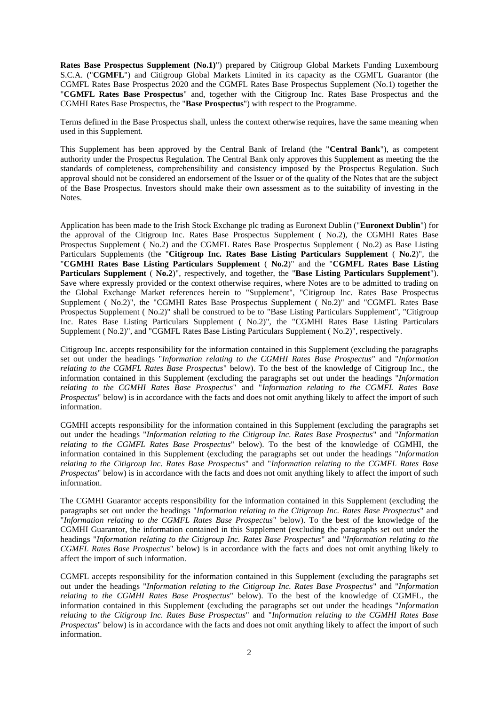**Rates Base Prospectus Supplement (No.1)**") prepared by Citigroup Global Markets Funding Luxembourg S.C.A. ("**CGMFL**") and Citigroup Global Markets Limited in its capacity as the CGMFL Guarantor (the CGMFL Rates Base Prospectus 2020 and the CGMFL Rates Base Prospectus Supplement (No.1) together the "**CGMFL Rates Base Prospectus**" and, together with the Citigroup Inc. Rates Base Prospectus and the CGMHI Rates Base Prospectus, the "**Base Prospectus**") with respect to the Programme.

Terms defined in the Base Prospectus shall, unless the context otherwise requires, have the same meaning when used in this Supplement.

This Supplement has been approved by the Central Bank of Ireland (the "**Central Bank**"), as competent authority under the Prospectus Regulation. The Central Bank only approves this Supplement as meeting the the standards of completeness, comprehensibility and consistency imposed by the Prospectus Regulation. Such approval should not be considered an endorsement of the Issuer or of the quality of the Notes that are the subject of the Base Prospectus. Investors should make their own assessment as to the suitability of investing in the Notes.

Application has been made to the Irish Stock Exchange plc trading as Euronext Dublin ("**Euronext Dublin**") for the approval of the Citigroup Inc. Rates Base Prospectus Supplement ( No.2), the CGMHI Rates Base Prospectus Supplement ( No.2) and the CGMFL Rates Base Prospectus Supplement ( No.2) as Base Listing Particulars Supplements (the "**Citigroup Inc. Rates Base Listing Particulars Supplement** ( **No.2**)", the "**CGMHI Rates Base Listing Particulars Supplement** ( **No.2**)" and the "**CGMFL Rates Base Listing Particulars Supplement** ( **No.2**)", respectively, and together, the "**Base Listing Particulars Supplement**"). Save where expressly provided or the context otherwise requires, where Notes are to be admitted to trading on the Global Exchange Market references herein to "Supplement", "Citigroup Inc. Rates Base Prospectus Supplement ( No.2)", the "CGMHI Rates Base Prospectus Supplement ( No.2)" and "CGMFL Rates Base Prospectus Supplement ( No.2)" shall be construed to be to "Base Listing Particulars Supplement", "Citigroup Inc. Rates Base Listing Particulars Supplement ( No.2)", the "CGMHI Rates Base Listing Particulars Supplement ( No.2)", and "CGMFL Rates Base Listing Particulars Supplement ( No.2)", respectively.

Citigroup Inc. accepts responsibility for the information contained in this Supplement (excluding the paragraphs set out under the headings "*Information relating to the CGMHI Rates Base Prospectus*" and "*Information relating to the CGMFL Rates Base Prospectus*" below). To the best of the knowledge of Citigroup Inc., the information contained in this Supplement (excluding the paragraphs set out under the headings "*Information relating to the CGMHI Rates Base Prospectus*" and "*Information relating to the CGMFL Rates Base Prospectus*" below) is in accordance with the facts and does not omit anything likely to affect the import of such information.

CGMHI accepts responsibility for the information contained in this Supplement (excluding the paragraphs set out under the headings "*Information relating to the Citigroup Inc. Rates Base Prospectus*" and "*Information relating to the CGMFL Rates Base Prospectus*" below). To the best of the knowledge of CGMHI, the information contained in this Supplement (excluding the paragraphs set out under the headings "*Information relating to the Citigroup Inc. Rates Base Prospectus*" and "*Information relating to the CGMFL Rates Base Prospectus*" below) is in accordance with the facts and does not omit anything likely to affect the import of such information.

The CGMHI Guarantor accepts responsibility for the information contained in this Supplement (excluding the paragraphs set out under the headings "*Information relating to the Citigroup Inc. Rates Base Prospectus*" and "*Information relating to the CGMFL Rates Base Prospectus*" below). To the best of the knowledge of the CGMHI Guarantor, the information contained in this Supplement (excluding the paragraphs set out under the headings "*Information relating to the Citigroup Inc. Rates Base Prospectus*" and "*Information relating to the CGMFL Rates Base Prospectus*" below) is in accordance with the facts and does not omit anything likely to affect the import of such information.

CGMFL accepts responsibility for the information contained in this Supplement (excluding the paragraphs set out under the headings "*Information relating to the Citigroup Inc. Rates Base Prospectus*" and "*Information relating to the CGMHI Rates Base Prospectus*" below). To the best of the knowledge of CGMFL, the information contained in this Supplement (excluding the paragraphs set out under the headings "*Information relating to the Citigroup Inc. Rates Base Prospectus*" and "*Information relating to the CGMHI Rates Base Prospectus*" below) is in accordance with the facts and does not omit anything likely to affect the import of such information.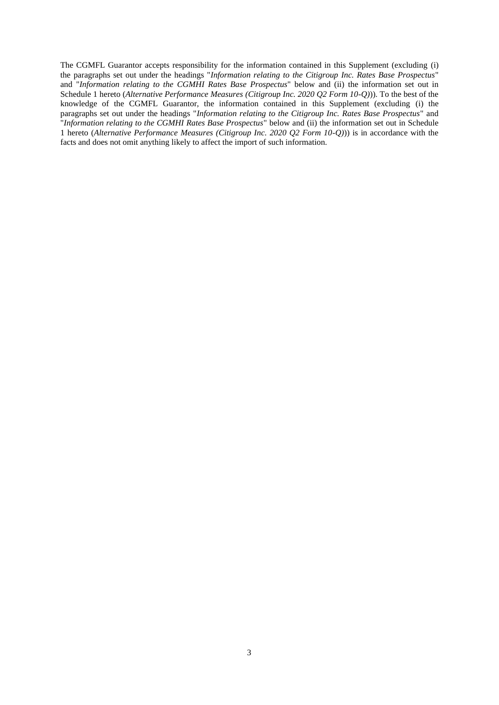The CGMFL Guarantor accepts responsibility for the information contained in this Supplement (excluding (i) the paragraphs set out under the headings "*Information relating to the Citigroup Inc. Rates Base Prospectus*" and "*Information relating to the CGMHI Rates Base Prospectus*" below and (ii) the information set out in Schedule 1 hereto (*Alternative Performance Measures (Citigroup Inc. 2020 Q2 Form 10-Q)*)). To the best of the knowledge of the CGMFL Guarantor, the information contained in this Supplement (excluding (i) the paragraphs set out under the headings "*Information relating to the Citigroup Inc. Rates Base Prospectus*" and "*Information relating to the CGMHI Rates Base Prospectus*" below and (ii) the information set out in Schedule 1 hereto (*Alternative Performance Measures (Citigroup Inc. 2020 Q2 Form 10-Q)*)) is in accordance with the facts and does not omit anything likely to affect the import of such information.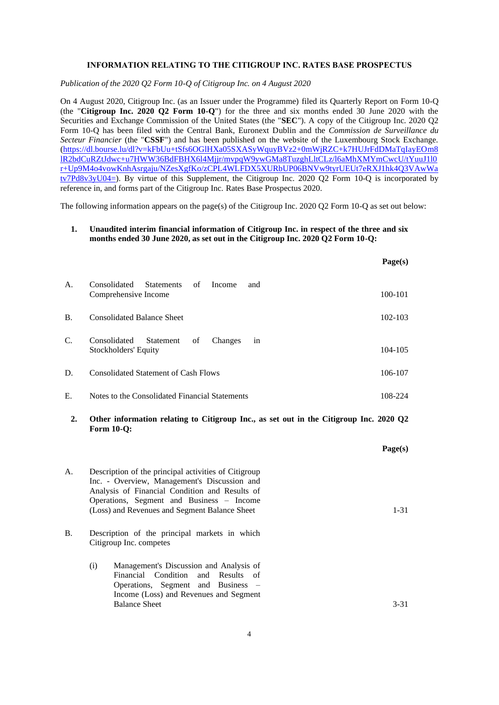#### **INFORMATION RELATING TO THE CITIGROUP INC. RATES BASE PROSPECTUS**

*Publication of the 2020 Q2 Form 10-Q of Citigroup Inc. on 4 August 2020*

On 4 August 2020, Citigroup Inc. (as an Issuer under the Programme) filed its Quarterly Report on Form 10-Q (the "**Citigroup Inc. 2020 Q2 Form 10-Q**") for the three and six months ended 30 June 2020 with the Securities and Exchange Commission of the United States (the "**SEC**"). A copy of the Citigroup Inc. 2020 Q2 Form 10-Q has been filed with the Central Bank, Euronext Dublin and the *Commission de Surveillance du Secteur Financier* (the "**CSSF**") and has been published on the website of the Luxembourg Stock Exchange. [\(https://dl.bourse.lu/dl?v=kFbUu+tSfs6OGlHXa05SXASyWquyBVz2+0mWjRZC+k7HUJrFdDMaTqIayEOm8](https://dl.bourse.lu/dl?v=kFbUu+tSfs6OGlHXa05SXASyWquyBVz2+0mWjRZC+k7HUJrFdDMaTqIayEOm8lR2bdCuRZtJdwc+u7HWW36BdFBHX6l4Mjjr/mvpqW9ywGMa8TuzghLltCLz/l6aMhXMYmCwcU/tYuuJ1l0r+Up9M4o4vowKnhAsrgaju/NZesXgfKo/zCPL4WLFDX5XURbUP06BNVw9tyrUEUt7eRXJ1hk4Q3VAwWatv7Pd8v3yU04=) [lR2bdCuRZtJdwc+u7HWW36BdFBHX6l4Mjjr/mvpqW9ywGMa8TuzghLltCLz/l6aMhXMYmCwcU/tYuuJ1l0](https://dl.bourse.lu/dl?v=kFbUu+tSfs6OGlHXa05SXASyWquyBVz2+0mWjRZC+k7HUJrFdDMaTqIayEOm8lR2bdCuRZtJdwc+u7HWW36BdFBHX6l4Mjjr/mvpqW9ywGMa8TuzghLltCLz/l6aMhXMYmCwcU/tYuuJ1l0r+Up9M4o4vowKnhAsrgaju/NZesXgfKo/zCPL4WLFDX5XURbUP06BNVw9tyrUEUt7eRXJ1hk4Q3VAwWatv7Pd8v3yU04=) [r+Up9M4o4vowKnhAsrgaju/NZesXgfKo/zCPL4WLFDX5XURbUP06BNVw9tyrUEUt7eRXJ1hk4Q3VAwWa](https://dl.bourse.lu/dl?v=kFbUu+tSfs6OGlHXa05SXASyWquyBVz2+0mWjRZC+k7HUJrFdDMaTqIayEOm8lR2bdCuRZtJdwc+u7HWW36BdFBHX6l4Mjjr/mvpqW9ywGMa8TuzghLltCLz/l6aMhXMYmCwcU/tYuuJ1l0r+Up9M4o4vowKnhAsrgaju/NZesXgfKo/zCPL4WLFDX5XURbUP06BNVw9tyrUEUt7eRXJ1hk4Q3VAwWatv7Pd8v3yU04=) [tv7Pd8v3yU04=\)](https://dl.bourse.lu/dl?v=kFbUu+tSfs6OGlHXa05SXASyWquyBVz2+0mWjRZC+k7HUJrFdDMaTqIayEOm8lR2bdCuRZtJdwc+u7HWW36BdFBHX6l4Mjjr/mvpqW9ywGMa8TuzghLltCLz/l6aMhXMYmCwcU/tYuuJ1l0r+Up9M4o4vowKnhAsrgaju/NZesXgfKo/zCPL4WLFDX5XURbUP06BNVw9tyrUEUt7eRXJ1hk4Q3VAwWatv7Pd8v3yU04=). By virtue of this Supplement, the Citigroup Inc. 2020 Q2 Form 10-Q is incorporated by reference in, and forms part of the Citigroup Inc. Rates Base Prospectus 2020.

The following information appears on the page(s) of the Citigroup Inc. 2020 Q2 Form 10-Q as set out below:

# **1. Unaudited interim financial information of Citigroup Inc. in respect of the three and six months ended 30 June 2020, as set out in the Citigroup Inc. 2020 Q2 Form 10-Q:**

|             |                                                                          | Page(s)     |
|-------------|--------------------------------------------------------------------------|-------------|
| A.          | of<br>Consolidated Statements<br>Income<br>and<br>Comprehensive Income   | 100-101     |
| <b>B.</b>   | <b>Consolidated Balance Sheet</b>                                        | $102 - 103$ |
| $C_{\cdot}$ | Consolidated<br>Statement<br>of<br>Changes<br>in<br>Stockholders' Equity | $104 - 105$ |
| D.          | <b>Consolidated Statement of Cash Flows</b>                              | 106-107     |
| Ε.          | Notes to the Consolidated Financial Statements                           | 108-224     |

**2. Other information relating to Citigroup Inc., as set out in the Citigroup Inc. 2020 Q2 Form 10-Q:**

|                                                                                                                                                                                                                                                      | Page(s)  |
|------------------------------------------------------------------------------------------------------------------------------------------------------------------------------------------------------------------------------------------------------|----------|
| Description of the principal activities of Citigroup<br>Inc. - Overview, Management's Discussion and<br>Analysis of Financial Condition and Results of<br>Operations, Segment and Business – Income<br>(Loss) and Revenues and Segment Balance Sheet | $1 - 31$ |
| Description of the principal markets in which<br>Citigroup Inc. competes                                                                                                                                                                             |          |
| Management's Discussion and Analysis of<br>(i)<br>Financial Condition and Results of<br>Operations, Segment and Business –<br>Income (Loss) and Revenues and Segment<br><b>Balance Sheet</b>                                                         | 3-31     |
|                                                                                                                                                                                                                                                      |          |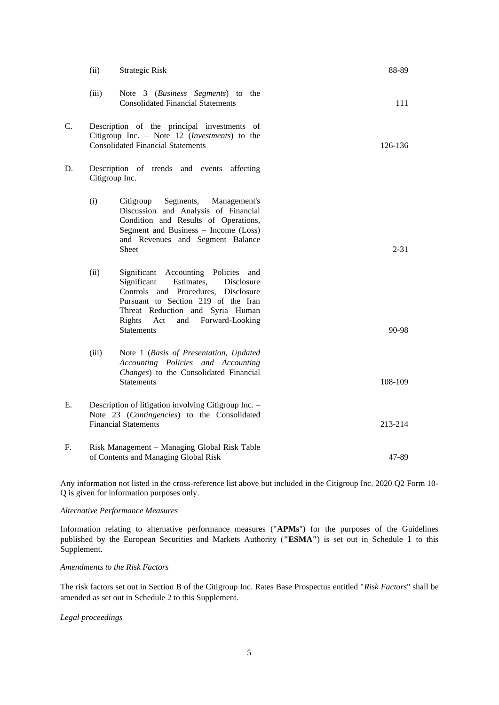|    | (ii)                                                                                                                               | Strategic Risk                                                                                                                                                                                                                                                      | 88-89    |  |
|----|------------------------------------------------------------------------------------------------------------------------------------|---------------------------------------------------------------------------------------------------------------------------------------------------------------------------------------------------------------------------------------------------------------------|----------|--|
|    | (iii)                                                                                                                              | Note 3 (Business Segments) to the<br><b>Consolidated Financial Statements</b>                                                                                                                                                                                       | 111      |  |
| C. |                                                                                                                                    | Description of the principal investments of<br>Citigroup Inc. - Note 12 (Investments) to the<br><b>Consolidated Financial Statements</b>                                                                                                                            |          |  |
| D. |                                                                                                                                    | Description of trends and events affecting<br>Citigroup Inc.                                                                                                                                                                                                        |          |  |
|    | (i)                                                                                                                                | Citigroup<br>Segments, Management's<br>Discussion and Analysis of Financial<br>Condition and Results of Operations,<br>Segment and Business - Income (Loss)<br>and Revenues and Segment Balance<br>Sheet                                                            | $2 - 31$ |  |
|    | (ii)                                                                                                                               | Significant Accounting Policies<br>and<br>Significant<br>Estimates,<br>Disclosure<br>Controls and Procedures, Disclosure<br>Pursuant to Section 219 of the Iran<br>Threat Reduction and Syria Human<br>Rights<br>Forward-Looking<br>Act<br>and<br><b>Statements</b> | 90-98    |  |
|    | (iii)                                                                                                                              | Note 1 (Basis of Presentation, Updated<br>Accounting Policies and Accounting<br>Changes) to the Consolidated Financial<br><b>Statements</b>                                                                                                                         | 108-109  |  |
| Е. | Description of litigation involving Citigroup Inc. -<br>Note 23 (Contingencies) to the Consolidated<br><b>Financial Statements</b> |                                                                                                                                                                                                                                                                     | 213-214  |  |
| F. | Risk Management - Managing Global Risk Table<br>of Contents and Managing Global Risk                                               |                                                                                                                                                                                                                                                                     |          |  |

Any information not listed in the cross-reference list above but included in the Citigroup Inc. 2020 Q2 Form 10- Q is given for information purposes only.

# *Alternative Performance Measures*

Information relating to alternative performance measures ("**APMs**") for the purposes of the Guidelines published by the European Securities and Markets Authority (**"ESMA"**) is set out in Schedule 1 to this Supplement.

# *Amendments to the Risk Factors*

The risk factors set out in Section B of the Citigroup Inc. Rates Base Prospectus entitled "*Risk Factors*" shall be amended as set out in Schedule 2 to this Supplement.

## *Legal proceedings*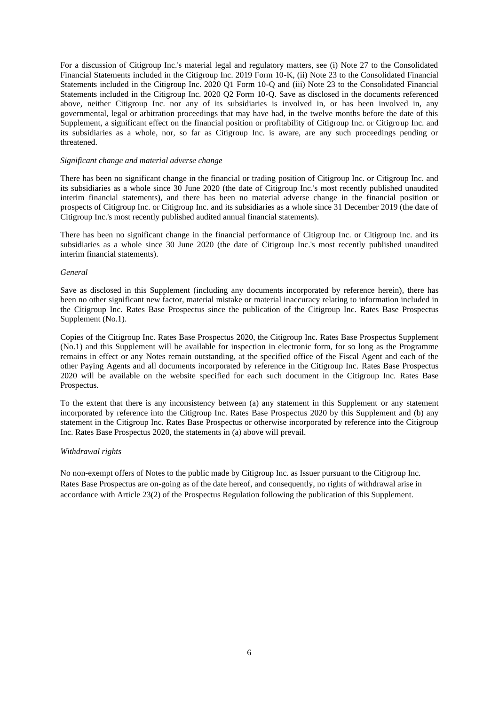For a discussion of Citigroup Inc.'s material legal and regulatory matters, see (i) Note 27 to the Consolidated Financial Statements included in the Citigroup Inc. 2019 Form 10-K, (ii) Note 23 to the Consolidated Financial Statements included in the Citigroup Inc. 2020 Q1 Form 10-Q and (iii) Note 23 to the Consolidated Financial Statements included in the Citigroup Inc. 2020 Q2 Form 10-Q. Save as disclosed in the documents referenced above, neither Citigroup Inc. nor any of its subsidiaries is involved in, or has been involved in, any governmental, legal or arbitration proceedings that may have had, in the twelve months before the date of this Supplement, a significant effect on the financial position or profitability of Citigroup Inc. or Citigroup Inc. and its subsidiaries as a whole, nor, so far as Citigroup Inc. is aware, are any such proceedings pending or threatened.

## *Significant change and material adverse change*

There has been no significant change in the financial or trading position of Citigroup Inc. or Citigroup Inc. and its subsidiaries as a whole since 30 June 2020 (the date of Citigroup Inc.'s most recently published unaudited interim financial statements), and there has been no material adverse change in the financial position or prospects of Citigroup Inc. or Citigroup Inc. and its subsidiaries as a whole since 31 December 2019 (the date of Citigroup Inc.'s most recently published audited annual financial statements).

There has been no significant change in the financial performance of Citigroup Inc. or Citigroup Inc. and its subsidiaries as a whole since 30 June 2020 (the date of Citigroup Inc.'s most recently published unaudited interim financial statements).

#### *General*

Save as disclosed in this Supplement (including any documents incorporated by reference herein), there has been no other significant new factor, material mistake or material inaccuracy relating to information included in the Citigroup Inc. Rates Base Prospectus since the publication of the Citigroup Inc. Rates Base Prospectus Supplement (No.1).

Copies of the Citigroup Inc. Rates Base Prospectus 2020, the Citigroup Inc. Rates Base Prospectus Supplement (No.1) and this Supplement will be available for inspection in electronic form, for so long as the Programme remains in effect or any Notes remain outstanding, at the specified office of the Fiscal Agent and each of the other Paying Agents and all documents incorporated by reference in the Citigroup Inc. Rates Base Prospectus 2020 will be available on the website specified for each such document in the Citigroup Inc. Rates Base Prospectus.

To the extent that there is any inconsistency between (a) any statement in this Supplement or any statement incorporated by reference into the Citigroup Inc. Rates Base Prospectus 2020 by this Supplement and (b) any statement in the Citigroup Inc. Rates Base Prospectus or otherwise incorporated by reference into the Citigroup Inc. Rates Base Prospectus 2020, the statements in (a) above will prevail.

### *Withdrawal rights*

No non-exempt offers of Notes to the public made by Citigroup Inc. as Issuer pursuant to the Citigroup Inc. Rates Base Prospectus are on-going as of the date hereof, and consequently, no rights of withdrawal arise in accordance with Article 23(2) of the Prospectus Regulation following the publication of this Supplement.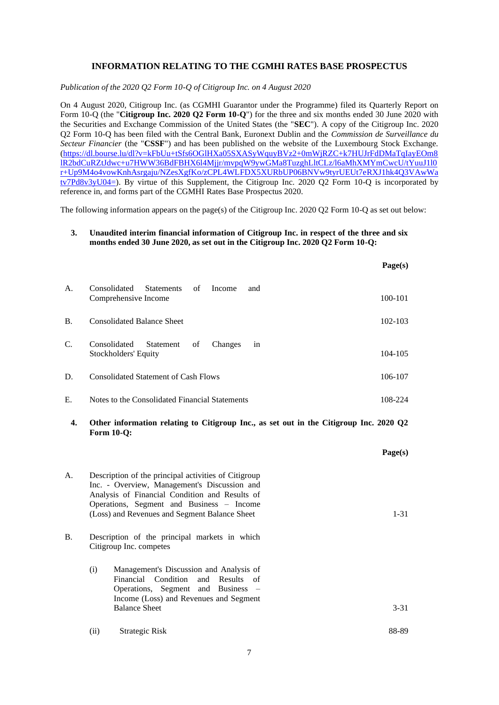# **INFORMATION RELATING TO THE CGMHI RATES BASE PROSPECTUS**

*Publication of the 2020 Q2 Form 10-Q of Citigroup Inc. on 4 August 2020*

On 4 August 2020, Citigroup Inc. (as CGMHI Guarantor under the Programme) filed its Quarterly Report on Form 10-Q (the "**Citigroup Inc. 2020 Q2 Form 10-Q**") for the three and six months ended 30 June 2020 with the Securities and Exchange Commission of the United States (the "**SEC**"). A copy of the Citigroup Inc. 2020 Q2 Form 10-Q has been filed with the Central Bank, Euronext Dublin and the *Commission de Surveillance du Secteur Financier* (the "**CSSF**") and has been published on the website of the Luxembourg Stock Exchange. [\(https://dl.bourse.lu/dl?v=kFbUu+tSfs6OGlHXa05SXASyWquyBVz2+0mWjRZC+k7HUJrFdDMaTqIayEOm8](https://dl.bourse.lu/dl?v=kFbUu+tSfs6OGlHXa05SXASyWquyBVz2+0mWjRZC+k7HUJrFdDMaTqIayEOm8lR2bdCuRZtJdwc+u7HWW36BdFBHX6l4Mjjr/mvpqW9ywGMa8TuzghLltCLz/l6aMhXMYmCwcU/tYuuJ1l0r+Up9M4o4vowKnhAsrgaju/NZesXgfKo/zCPL4WLFDX5XURbUP06BNVw9tyrUEUt7eRXJ1hk4Q3VAwWatv7Pd8v3yU04=) [lR2bdCuRZtJdwc+u7HWW36BdFBHX6l4Mjjr/mvpqW9ywGMa8TuzghLltCLz/l6aMhXMYmCwcU/tYuuJ1l0](https://dl.bourse.lu/dl?v=kFbUu+tSfs6OGlHXa05SXASyWquyBVz2+0mWjRZC+k7HUJrFdDMaTqIayEOm8lR2bdCuRZtJdwc+u7HWW36BdFBHX6l4Mjjr/mvpqW9ywGMa8TuzghLltCLz/l6aMhXMYmCwcU/tYuuJ1l0r+Up9M4o4vowKnhAsrgaju/NZesXgfKo/zCPL4WLFDX5XURbUP06BNVw9tyrUEUt7eRXJ1hk4Q3VAwWatv7Pd8v3yU04=) [r+Up9M4o4vowKnhAsrgaju/NZesXgfKo/zCPL4WLFDX5XURbUP06BNVw9tyrUEUt7eRXJ1hk4Q3VAwWa](https://dl.bourse.lu/dl?v=kFbUu+tSfs6OGlHXa05SXASyWquyBVz2+0mWjRZC+k7HUJrFdDMaTqIayEOm8lR2bdCuRZtJdwc+u7HWW36BdFBHX6l4Mjjr/mvpqW9ywGMa8TuzghLltCLz/l6aMhXMYmCwcU/tYuuJ1l0r+Up9M4o4vowKnhAsrgaju/NZesXgfKo/zCPL4WLFDX5XURbUP06BNVw9tyrUEUt7eRXJ1hk4Q3VAwWatv7Pd8v3yU04=) [tv7Pd8v3yU04=\)](https://dl.bourse.lu/dl?v=kFbUu+tSfs6OGlHXa05SXASyWquyBVz2+0mWjRZC+k7HUJrFdDMaTqIayEOm8lR2bdCuRZtJdwc+u7HWW36BdFBHX6l4Mjjr/mvpqW9ywGMa8TuzghLltCLz/l6aMhXMYmCwcU/tYuuJ1l0r+Up9M4o4vowKnhAsrgaju/NZesXgfKo/zCPL4WLFDX5XURbUP06BNVw9tyrUEUt7eRXJ1hk4Q3VAwWatv7Pd8v3yU04=). By virtue of this Supplement, the Citigroup Inc. 2020 Q2 Form 10-Q is incorporated by reference in, and forms part of the CGMHI Rates Base Prospectus 2020.

The following information appears on the page(s) of the Citigroup Inc. 2020 Q2 Form 10-Q as set out below:

## **3. Unaudited interim financial information of Citigroup Inc. in respect of the three and six months ended 30 June 2020, as set out in the Citigroup Inc. 2020 Q2 Form 10-Q:**

 $\mathbf{p}_{\alpha \alpha \beta}(\alpha)$ 

|             |                                                                           | r age(s) |
|-------------|---------------------------------------------------------------------------|----------|
| А.          | Consolidated<br>of<br>Statements<br>Income<br>and<br>Comprehensive Income | 100-101  |
| <b>B.</b>   | <b>Consolidated Balance Sheet</b>                                         | 102-103  |
| $C_{\cdot}$ | Consolidated<br>Statement of<br>Changes<br>1n<br>Stockholders' Equity     | 104-105  |
| D.          | <b>Consolidated Statement of Cash Flows</b>                               | 106-107  |
| Е.          | Notes to the Consolidated Financial Statements                            | 108-224  |

**4. Other information relating to Citigroup Inc., as set out in the Citigroup Inc. 2020 Q2 Form 10-Q:**

|    |                                                                          |                                                                                                                                                                                                                                                      | Page(s)  |
|----|--------------------------------------------------------------------------|------------------------------------------------------------------------------------------------------------------------------------------------------------------------------------------------------------------------------------------------------|----------|
| А. |                                                                          | Description of the principal activities of Citigroup<br>Inc. - Overview, Management's Discussion and<br>Analysis of Financial Condition and Results of<br>Operations, Segment and Business – Income<br>(Loss) and Revenues and Segment Balance Sheet | $1 - 31$ |
| В. | Description of the principal markets in which<br>Citigroup Inc. competes |                                                                                                                                                                                                                                                      |          |
|    | (i)                                                                      | Management's Discussion and Analysis of<br>Financial Condition and Results of<br>Operations, Segment and Business –<br>Income (Loss) and Revenues and Segment<br><b>Balance Sheet</b>                                                                | $3 - 31$ |
|    | (ii)                                                                     | Strategic Risk                                                                                                                                                                                                                                       | 88-89    |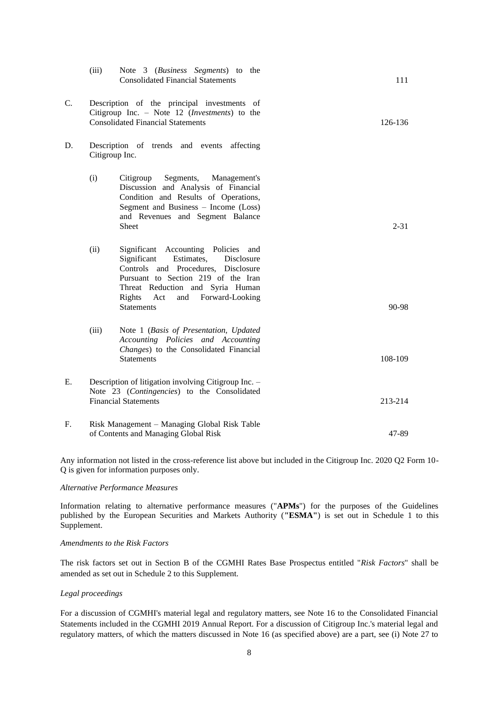|    | (iii)                                                                                                                                             | Note 3 (Business Segments) to the<br><b>Consolidated Financial Statements</b>                                                                                                                                                                                    | 111      |
|----|---------------------------------------------------------------------------------------------------------------------------------------------------|------------------------------------------------------------------------------------------------------------------------------------------------------------------------------------------------------------------------------------------------------------------|----------|
| C. | Description of the principal investments of<br>Citigroup Inc. - Note 12 ( <i>Investments</i> ) to the<br><b>Consolidated Financial Statements</b> | 126-136                                                                                                                                                                                                                                                          |          |
| D. |                                                                                                                                                   | Description of trends and events affecting<br>Citigroup Inc.                                                                                                                                                                                                     |          |
|    | (i)                                                                                                                                               | Segments, Management's<br>Citigroup<br>Discussion and Analysis of Financial<br>Condition and Results of Operations,<br>Segment and Business - Income (Loss)<br>and Revenues and Segment Balance<br><b>Sheet</b>                                                  | $2 - 31$ |
|    | (ii)                                                                                                                                              | Significant Accounting Policies and<br>Estimates,<br>Significant<br>Disclosure<br>Controls and Procedures, Disclosure<br>Pursuant to Section 219 of the Iran<br>Threat Reduction and Syria Human<br>Rights<br>and<br>Forward-Looking<br>Act<br><b>Statements</b> | 90-98    |
|    | (iii)                                                                                                                                             | Note 1 (Basis of Presentation, Updated<br>Accounting Policies and Accounting<br>Changes) to the Consolidated Financial<br><b>Statements</b>                                                                                                                      | 108-109  |
| Е. |                                                                                                                                                   | Description of litigation involving Citigroup Inc. -<br>Note 23 (Contingencies) to the Consolidated<br><b>Financial Statements</b>                                                                                                                               | 213-214  |
| F. |                                                                                                                                                   | Risk Management – Managing Global Risk Table<br>of Contents and Managing Global Risk                                                                                                                                                                             | 47-89    |

Any information not listed in the cross-reference list above but included in the Citigroup Inc. 2020 Q2 Form 10- Q is given for information purposes only.

#### *Alternative Performance Measures*

Information relating to alternative performance measures ("**APMs**") for the purposes of the Guidelines published by the European Securities and Markets Authority (**"ESMA"**) is set out in Schedule 1 to this Supplement.

### *Amendments to the Risk Factors*

The risk factors set out in Section B of the CGMHI Rates Base Prospectus entitled "*Risk Factors*" shall be amended as set out in Schedule 2 to this Supplement.

## *Legal proceedings*

For a discussion of CGMHI's material legal and regulatory matters, see Note 16 to the Consolidated Financial Statements included in the CGMHI 2019 Annual Report. For a discussion of Citigroup Inc.'s material legal and regulatory matters, of which the matters discussed in Note 16 (as specified above) are a part, see (i) Note 27 to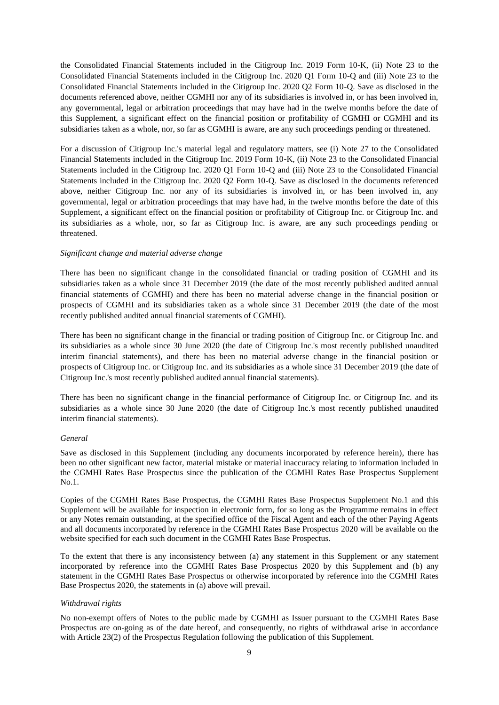the Consolidated Financial Statements included in the Citigroup Inc. 2019 Form 10-K, (ii) Note 23 to the Consolidated Financial Statements included in the Citigroup Inc. 2020 Q1 Form 10-Q and (iii) Note 23 to the Consolidated Financial Statements included in the Citigroup Inc. 2020 Q2 Form 10-Q. Save as disclosed in the documents referenced above, neither CGMHI nor any of its subsidiaries is involved in, or has been involved in, any governmental, legal or arbitration proceedings that may have had in the twelve months before the date of this Supplement, a significant effect on the financial position or profitability of CGMHI or CGMHI and its subsidiaries taken as a whole, nor, so far as CGMHI is aware, are any such proceedings pending or threatened.

For a discussion of Citigroup Inc.'s material legal and regulatory matters, see (i) Note 27 to the Consolidated Financial Statements included in the Citigroup Inc. 2019 Form 10-K, (ii) Note 23 to the Consolidated Financial Statements included in the Citigroup Inc. 2020 Q1 Form 10-Q and (iii) Note 23 to the Consolidated Financial Statements included in the Citigroup Inc. 2020 Q2 Form 10-Q. Save as disclosed in the documents referenced above, neither Citigroup Inc. nor any of its subsidiaries is involved in, or has been involved in, any governmental, legal or arbitration proceedings that may have had, in the twelve months before the date of this Supplement, a significant effect on the financial position or profitability of Citigroup Inc. or Citigroup Inc. and its subsidiaries as a whole, nor, so far as Citigroup Inc. is aware, are any such proceedings pending or threatened.

### *Significant change and material adverse change*

There has been no significant change in the consolidated financial or trading position of CGMHI and its subsidiaries taken as a whole since 31 December 2019 (the date of the most recently published audited annual financial statements of CGMHI) and there has been no material adverse change in the financial position or prospects of CGMHI and its subsidiaries taken as a whole since 31 December 2019 (the date of the most recently published audited annual financial statements of CGMHI).

There has been no significant change in the financial or trading position of Citigroup Inc. or Citigroup Inc. and its subsidiaries as a whole since 30 June 2020 (the date of Citigroup Inc.'s most recently published unaudited interim financial statements), and there has been no material adverse change in the financial position or prospects of Citigroup Inc. or Citigroup Inc. and its subsidiaries as a whole since 31 December 2019 (the date of Citigroup Inc.'s most recently published audited annual financial statements).

There has been no significant change in the financial performance of Citigroup Inc. or Citigroup Inc. and its subsidiaries as a whole since 30 June 2020 (the date of Citigroup Inc.'s most recently published unaudited interim financial statements).

### *General*

Save as disclosed in this Supplement (including any documents incorporated by reference herein), there has been no other significant new factor, material mistake or material inaccuracy relating to information included in the CGMHI Rates Base Prospectus since the publication of the CGMHI Rates Base Prospectus Supplement No.1.

Copies of the CGMHI Rates Base Prospectus, the CGMHI Rates Base Prospectus Supplement No.1 and this Supplement will be available for inspection in electronic form, for so long as the Programme remains in effect or any Notes remain outstanding, at the specified office of the Fiscal Agent and each of the other Paying Agents and all documents incorporated by reference in the CGMHI Rates Base Prospectus 2020 will be available on the website specified for each such document in the CGMHI Rates Base Prospectus.

To the extent that there is any inconsistency between (a) any statement in this Supplement or any statement incorporated by reference into the CGMHI Rates Base Prospectus 2020 by this Supplement and (b) any statement in the CGMHI Rates Base Prospectus or otherwise incorporated by reference into the CGMHI Rates Base Prospectus 2020, the statements in (a) above will prevail.

### *Withdrawal rights*

No non-exempt offers of Notes to the public made by CGMHI as Issuer pursuant to the CGMHI Rates Base Prospectus are on-going as of the date hereof, and consequently, no rights of withdrawal arise in accordance with Article 23(2) of the Prospectus Regulation following the publication of this Supplement.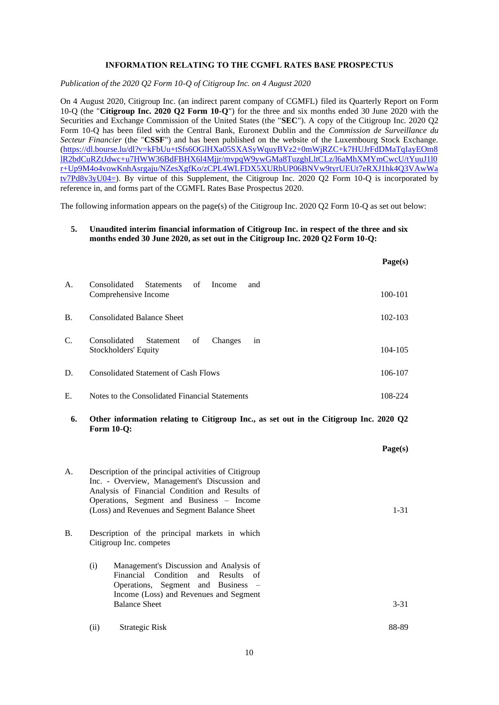## **INFORMATION RELATING TO THE CGMFL RATES BASE PROSPECTUS**

*Publication of the 2020 Q2 Form 10-Q of Citigroup Inc. on 4 August 2020*

On 4 August 2020, Citigroup Inc. (an indirect parent company of CGMFL) filed its Quarterly Report on Form 10-Q (the "**Citigroup Inc. 2020 Q2 Form 10-Q**") for the three and six months ended 30 June 2020 with the Securities and Exchange Commission of the United States (the "**SEC**"). A copy of the Citigroup Inc. 2020 Q2 Form 10-Q has been filed with the Central Bank, Euronext Dublin and the *Commission de Surveillance du Secteur Financier* (the "**CSSF**") and has been published on the website of the Luxembourg Stock Exchange. [\(https://dl.bourse.lu/dl?v=kFbUu+tSfs6OGlHXa05SXASyWquyBVz2+0mWjRZC+k7HUJrFdDMaTqIayEOm8](https://dl.bourse.lu/dl?v=kFbUu+tSfs6OGlHXa05SXASyWquyBVz2+0mWjRZC+k7HUJrFdDMaTqIayEOm8lR2bdCuRZtJdwc+u7HWW36BdFBHX6l4Mjjr/mvpqW9ywGMa8TuzghLltCLz/l6aMhXMYmCwcU/tYuuJ1l0r+Up9M4o4vowKnhAsrgaju/NZesXgfKo/zCPL4WLFDX5XURbUP06BNVw9tyrUEUt7eRXJ1hk4Q3VAwWatv7Pd8v3yU04=) [lR2bdCuRZtJdwc+u7HWW36BdFBHX6l4Mjjr/mvpqW9ywGMa8TuzghLltCLz/l6aMhXMYmCwcU/tYuuJ1l0](https://dl.bourse.lu/dl?v=kFbUu+tSfs6OGlHXa05SXASyWquyBVz2+0mWjRZC+k7HUJrFdDMaTqIayEOm8lR2bdCuRZtJdwc+u7HWW36BdFBHX6l4Mjjr/mvpqW9ywGMa8TuzghLltCLz/l6aMhXMYmCwcU/tYuuJ1l0r+Up9M4o4vowKnhAsrgaju/NZesXgfKo/zCPL4WLFDX5XURbUP06BNVw9tyrUEUt7eRXJ1hk4Q3VAwWatv7Pd8v3yU04=) [r+Up9M4o4vowKnhAsrgaju/NZesXgfKo/zCPL4WLFDX5XURbUP06BNVw9tyrUEUt7eRXJ1hk4Q3VAwWa](https://dl.bourse.lu/dl?v=kFbUu+tSfs6OGlHXa05SXASyWquyBVz2+0mWjRZC+k7HUJrFdDMaTqIayEOm8lR2bdCuRZtJdwc+u7HWW36BdFBHX6l4Mjjr/mvpqW9ywGMa8TuzghLltCLz/l6aMhXMYmCwcU/tYuuJ1l0r+Up9M4o4vowKnhAsrgaju/NZesXgfKo/zCPL4WLFDX5XURbUP06BNVw9tyrUEUt7eRXJ1hk4Q3VAwWatv7Pd8v3yU04=) [tv7Pd8v3yU04=\)](https://dl.bourse.lu/dl?v=kFbUu+tSfs6OGlHXa05SXASyWquyBVz2+0mWjRZC+k7HUJrFdDMaTqIayEOm8lR2bdCuRZtJdwc+u7HWW36BdFBHX6l4Mjjr/mvpqW9ywGMa8TuzghLltCLz/l6aMhXMYmCwcU/tYuuJ1l0r+Up9M4o4vowKnhAsrgaju/NZesXgfKo/zCPL4WLFDX5XURbUP06BNVw9tyrUEUt7eRXJ1hk4Q3VAwWatv7Pd8v3yU04=). By virtue of this Supplement, the Citigroup Inc. 2020 Q2 Form 10-Q is incorporated by reference in, and forms part of the CGMFL Rates Base Prospectus 2020.

The following information appears on the page(s) of the Citigroup Inc. 2020 Q2 Form 10-Q as set out below:

# **5. Unaudited interim financial information of Citigroup Inc. in respect of the three and six months ended 30 June 2020, as set out in the Citigroup Inc. 2020 Q2 Form 10-Q:**

|                 |                                                                           | Page(s)     |
|-----------------|---------------------------------------------------------------------------|-------------|
| A.              | of<br>Consolidated<br>Statements<br>Income<br>and<br>Comprehensive Income | 100-101     |
| <b>B.</b>       | <b>Consolidated Balance Sheet</b>                                         | $102 - 103$ |
| $\mathcal{C}$ . | Consolidated<br>Statement<br>of<br>Changes<br>in<br>Stockholders' Equity  | $104 - 105$ |
| D.              | <b>Consolidated Statement of Cash Flows</b>                               | 106-107     |
| Ε.              | Notes to the Consolidated Financial Statements                            | 108-224     |

**6. Other information relating to Citigroup Inc., as set out in the Citigroup Inc. 2020 Q2 Form 10-Q:**

|    |                                                                                                                                                                                                                                                      |                                                                                                                                                                                       | Page(s)  |
|----|------------------------------------------------------------------------------------------------------------------------------------------------------------------------------------------------------------------------------------------------------|---------------------------------------------------------------------------------------------------------------------------------------------------------------------------------------|----------|
| А. | Description of the principal activities of Citigroup<br>Inc. - Overview, Management's Discussion and<br>Analysis of Financial Condition and Results of<br>Operations, Segment and Business – Income<br>(Loss) and Revenues and Segment Balance Sheet |                                                                                                                                                                                       | $1 - 31$ |
| В. |                                                                                                                                                                                                                                                      | Description of the principal markets in which<br>Citigroup Inc. competes                                                                                                              |          |
|    | (i)                                                                                                                                                                                                                                                  | Management's Discussion and Analysis of<br>Financial Condition and Results of<br>Operations, Segment and Business –<br>Income (Loss) and Revenues and Segment<br><b>Balance Sheet</b> | $3 - 31$ |
|    | (ii)                                                                                                                                                                                                                                                 | Strategic Risk                                                                                                                                                                        | 88-89    |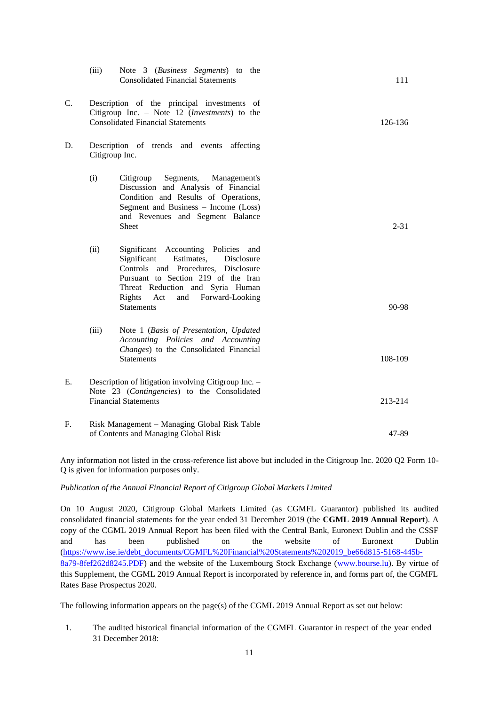|    | (iii)                                                                                                                                             | Note 3 (Business Segments) to the<br><b>Consolidated Financial Statements</b>                                                                                                                                                                                    | 111       |
|----|---------------------------------------------------------------------------------------------------------------------------------------------------|------------------------------------------------------------------------------------------------------------------------------------------------------------------------------------------------------------------------------------------------------------------|-----------|
| C. | Description of the principal investments of<br>Citigroup Inc. - Note 12 ( <i>Investments</i> ) to the<br><b>Consolidated Financial Statements</b> | 126-136                                                                                                                                                                                                                                                          |           |
| D. |                                                                                                                                                   | Description of trends and events affecting<br>Citigroup Inc.                                                                                                                                                                                                     |           |
|    | (i)                                                                                                                                               | Segments, Management's<br>Citigroup<br>Discussion and Analysis of Financial<br>Condition and Results of Operations,<br>Segment and Business - Income (Loss)<br>and Revenues and Segment Balance<br><b>Sheet</b>                                                  | $2 - 31$  |
|    | (ii)                                                                                                                                              | Significant Accounting Policies and<br>Significant<br>Estimates,<br>Disclosure<br>Controls and Procedures, Disclosure<br>Pursuant to Section 219 of the Iran<br>Threat Reduction and Syria Human<br>Rights<br>Forward-Looking<br>Act<br>and<br><b>Statements</b> | $90 - 98$ |
|    | (iii)                                                                                                                                             | Note 1 (Basis of Presentation, Updated<br>Accounting Policies and Accounting<br>Changes) to the Consolidated Financial<br><b>Statements</b>                                                                                                                      | 108-109   |
| E. |                                                                                                                                                   | Description of litigation involving Citigroup Inc. -<br>Note 23 (Contingencies) to the Consolidated<br><b>Financial Statements</b>                                                                                                                               | 213-214   |
| F. |                                                                                                                                                   | Risk Management – Managing Global Risk Table<br>of Contents and Managing Global Risk                                                                                                                                                                             | 47-89     |

Any information not listed in the cross-reference list above but included in the Citigroup Inc. 2020 Q2 Form 10- Q is given for information purposes only.

### *Publication of the Annual Financial Report of Citigroup Global Markets Limited*

On 10 August 2020, Citigroup Global Markets Limited (as CGMFL Guarantor) published its audited consolidated financial statements for the year ended 31 December 2019 (the **CGML 2019 Annual Report**). A copy of the CGML 2019 Annual Report has been filed with the Central Bank, Euronext Dublin and the CSSF and has been published on the website of Euronext Dublin [\(https://www.ise.ie/debt\\_documents/CGMFL%20Financial%20Statements%202019\\_be66d815-5168-445b-](https://www.ise.ie/debt_documents/CGMFL%20Financial%20Statements%202019_be66d815-5168-445b-8a79-8fef262d8245.PDF)[8a79-8fef262d8245.PDF\)](https://www.ise.ie/debt_documents/CGMFL%20Financial%20Statements%202019_be66d815-5168-445b-8a79-8fef262d8245.PDF) and the website of the Luxembourg Stock Exchange [\(www.bourse.lu\)](http://www.bourse.lu/). By virtue of this Supplement, the CGML 2019 Annual Report is incorporated by reference in, and forms part of, the CGMFL Rates Base Prospectus 2020.

The following information appears on the page(s) of the CGML 2019 Annual Report as set out below:

1. The audited historical financial information of the CGMFL Guarantor in respect of the year ended 31 December 2018: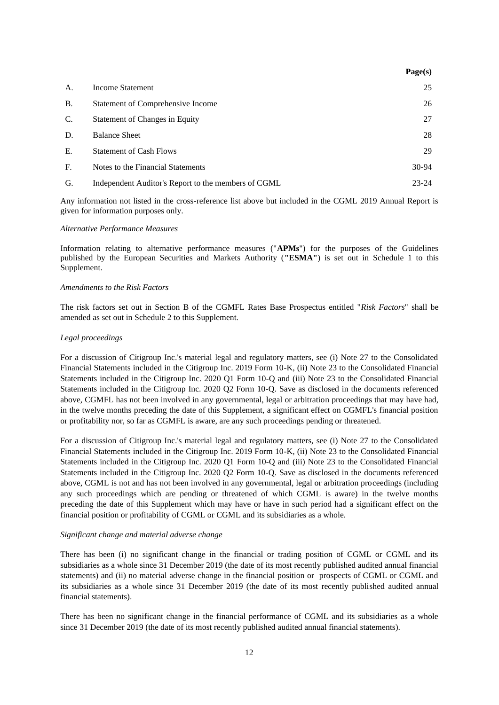|           |                                                     | Page(s)   |
|-----------|-----------------------------------------------------|-----------|
| A.        | Income Statement                                    | 25        |
| <b>B.</b> | Statement of Comprehensive Income                   | 26        |
| C.        | Statement of Changes in Equity                      | 27        |
| D.        | <b>Balance Sheet</b>                                | 28        |
| Ε.        | <b>Statement of Cash Flows</b>                      | 29        |
| F.        | Notes to the Financial Statements                   | 30-94     |
| G.        | Independent Auditor's Report to the members of CGML | $23 - 24$ |

Any information not listed in the cross-reference list above but included in the CGML 2019 Annual Report is given for information purposes only.

#### *Alternative Performance Measures*

Information relating to alternative performance measures ("**APMs**") for the purposes of the Guidelines published by the European Securities and Markets Authority (**"ESMA"**) is set out in Schedule 1 to this Supplement.

#### *Amendments to the Risk Factors*

The risk factors set out in Section B of the CGMFL Rates Base Prospectus entitled "*Risk Factors*" shall be amended as set out in Schedule 2 to this Supplement.

#### *Legal proceedings*

For a discussion of Citigroup Inc.'s material legal and regulatory matters, see (i) Note 27 to the Consolidated Financial Statements included in the Citigroup Inc. 2019 Form 10-K, (ii) Note 23 to the Consolidated Financial Statements included in the Citigroup Inc. 2020 Q1 Form 10-Q and (iii) Note 23 to the Consolidated Financial Statements included in the Citigroup Inc. 2020 Q2 Form 10-Q. Save as disclosed in the documents referenced above, CGMFL has not been involved in any governmental, legal or arbitration proceedings that may have had, in the twelve months preceding the date of this Supplement, a significant effect on CGMFL's financial position or profitability nor, so far as CGMFL is aware, are any such proceedings pending or threatened.

For a discussion of Citigroup Inc.'s material legal and regulatory matters, see (i) Note 27 to the Consolidated Financial Statements included in the Citigroup Inc. 2019 Form 10-K, (ii) Note 23 to the Consolidated Financial Statements included in the Citigroup Inc. 2020 Q1 Form 10-Q and (iii) Note 23 to the Consolidated Financial Statements included in the Citigroup Inc. 2020 Q2 Form 10-Q. Save as disclosed in the documents referenced above, CGML is not and has not been involved in any governmental, legal or arbitration proceedings (including any such proceedings which are pending or threatened of which CGML is aware) in the twelve months preceding the date of this Supplement which may have or have in such period had a significant effect on the financial position or profitability of CGML or CGML and its subsidiaries as a whole.

### *Significant change and material adverse change*

There has been (i) no significant change in the financial or trading position of CGML or CGML and its subsidiaries as a whole since 31 December 2019 (the date of its most recently published audited annual financial statements) and (ii) no material adverse change in the financial position or prospects of CGML or CGML and its subsidiaries as a whole since 31 December 2019 (the date of its most recently published audited annual financial statements).

There has been no significant change in the financial performance of CGML and its subsidiaries as a whole since 31 December 2019 (the date of its most recently published audited annual financial statements).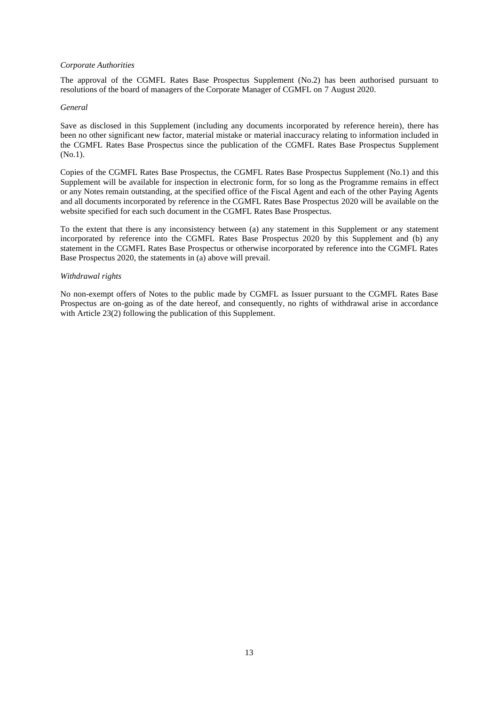## *Corporate Authorities*

The approval of the CGMFL Rates Base Prospectus Supplement (No.2) has been authorised pursuant to resolutions of the board of managers of the Corporate Manager of CGMFL on 7 August 2020.

### *General*

Save as disclosed in this Supplement (including any documents incorporated by reference herein), there has been no other significant new factor, material mistake or material inaccuracy relating to information included in the CGMFL Rates Base Prospectus since the publication of the CGMFL Rates Base Prospectus Supplement (No.1).

Copies of the CGMFL Rates Base Prospectus, the CGMFL Rates Base Prospectus Supplement (No.1) and this Supplement will be available for inspection in electronic form, for so long as the Programme remains in effect or any Notes remain outstanding, at the specified office of the Fiscal Agent and each of the other Paying Agents and all documents incorporated by reference in the CGMFL Rates Base Prospectus 2020 will be available on the website specified for each such document in the CGMFL Rates Base Prospectus.

To the extent that there is any inconsistency between (a) any statement in this Supplement or any statement incorporated by reference into the CGMFL Rates Base Prospectus 2020 by this Supplement and (b) any statement in the CGMFL Rates Base Prospectus or otherwise incorporated by reference into the CGMFL Rates Base Prospectus 2020, the statements in (a) above will prevail.

### *Withdrawal rights*

No non-exempt offers of Notes to the public made by CGMFL as Issuer pursuant to the CGMFL Rates Base Prospectus are on-going as of the date hereof, and consequently, no rights of withdrawal arise in accordance with Article 23(2) following the publication of this Supplement.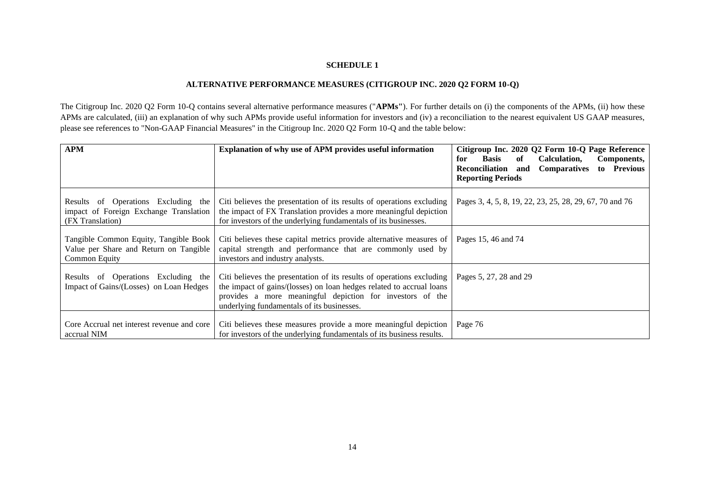# **SCHEDULE 1**

# **ALTERNATIVE PERFORMANCE MEASURES (CITIGROUP INC. 2020 Q2 FORM 10-Q)**

The Citigroup Inc. 2020 Q2 Form 10-Q contains several alternative performance measures ("**APMs"**). For further details on (i) the components of the APMs, (ii) how these APMs are calculated, (iii) an explanation of why such APMs provide useful information for investors and (iv) a reconciliation to the nearest equivalent US GAAP measures, please see references to "Non-GAAP Financial Measures" in the Citigroup Inc. 2020 Q2 Form 10-Q and the table below:

| <b>APM</b>                                                                                        | Explanation of why use of APM provides useful information                                                                                                                                                                                                | Citigroup Inc. 2020 Q2 Form 10-Q Page Reference<br>Calculation.<br>Basis<br>of<br>for<br>Components,<br>Reconciliation<br><b>Comparatives</b><br>to Previous<br>and<br><b>Reporting Periods</b> |
|---------------------------------------------------------------------------------------------------|----------------------------------------------------------------------------------------------------------------------------------------------------------------------------------------------------------------------------------------------------------|-------------------------------------------------------------------------------------------------------------------------------------------------------------------------------------------------|
| Results of Operations Excluding the<br>impact of Foreign Exchange Translation<br>(FX Translation) | Citi believes the presentation of its results of operations excluding<br>the impact of FX Translation provides a more meaningful depiction<br>for investors of the underlying fundamentals of its businesses.                                            | Pages 3, 4, 5, 8, 19, 22, 23, 25, 28, 29, 67, 70 and 76                                                                                                                                         |
| Tangible Common Equity, Tangible Book<br>Value per Share and Return on Tangible<br>Common Equity  | Citi believes these capital metrics provide alternative measures of<br>capital strength and performance that are commonly used by<br>investors and industry analysts.                                                                                    | Pages 15, 46 and 74                                                                                                                                                                             |
| Results of Operations Excluding the<br>Impact of Gains/(Losses) on Loan Hedges                    | Citi believes the presentation of its results of operations excluding<br>the impact of gains/(losses) on loan hedges related to accrual loans<br>provides a more meaningful depiction for investors of the<br>underlying fundamentals of its businesses. | Pages 5, 27, 28 and 29                                                                                                                                                                          |
| Core Accrual net interest revenue and core<br>accrual NIM                                         | Citi believes these measures provide a more meaningful depiction<br>for investors of the underlying fundamentals of its business results.                                                                                                                | Page 76                                                                                                                                                                                         |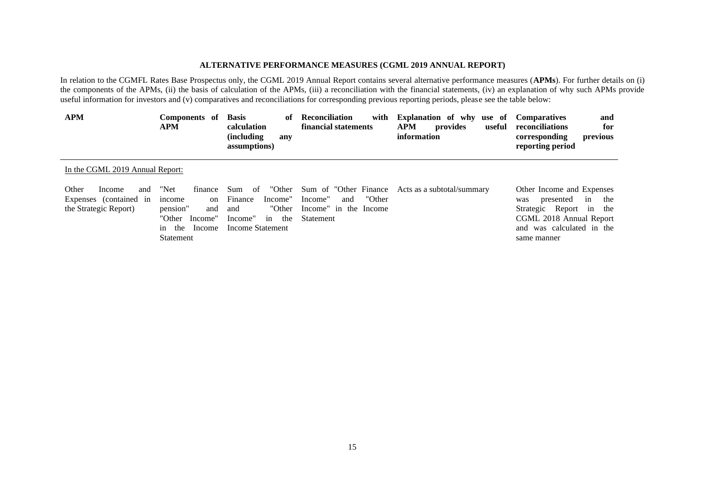## **ALTERNATIVE PERFORMANCE MEASURES (CGML 2019 ANNUAL REPORT)**

In relation to the CGMFL Rates Base Prospectus only, the CGML 2019 Annual Report contains several alternative performance measures (**APMs**). For further details on (i) the components of the APMs, (ii) the basis of calculation of the APMs, (iii) a reconciliation with the financial statements, (iv) an explanation of why such APMs provide useful information for investors and (v) comparatives and reconciliations for corresponding previous reporting periods, please see the table below:

| <b>APM</b>                                                                | Components of<br><b>APM</b>                                                                        | <b>Basis</b><br>of<br>calculation<br>(including<br>any<br>assumptions)                                 | Reconciliation<br>with<br>financial statements                                                  | <b>Explanation of why use of Comparatives</b><br><b>APM</b><br>provides<br>useful<br>information | and<br>reconciliations<br>for<br>previous<br>corresponding<br>reporting period                                                                               |
|---------------------------------------------------------------------------|----------------------------------------------------------------------------------------------------|--------------------------------------------------------------------------------------------------------|-------------------------------------------------------------------------------------------------|--------------------------------------------------------------------------------------------------|--------------------------------------------------------------------------------------------------------------------------------------------------------------|
| In the CGML 2019 Annual Report:                                           |                                                                                                    |                                                                                                        |                                                                                                 |                                                                                                  |                                                                                                                                                              |
| Other<br>and<br>Income<br>Expenses (contained in<br>the Strategic Report) | "Net<br>finance<br>income<br>on<br>pension"<br>and<br>"Other Income"<br>in the Income<br>Statement | "Other<br>Sum<br>of<br>Finance<br>Income"<br>"Other<br>and<br>Income"<br>the<br>in<br>Income Statement | Sum of "Other Finance"<br>"Other<br>Income"<br>and<br>Income" in the Income<br><b>Statement</b> | Acts as a subtotal/summary                                                                       | Other Income and Expenses<br>presented<br>the<br>in<br>was<br>Strategic Report in the<br>CGML 2018 Annual Report<br>and was calculated in the<br>same manner |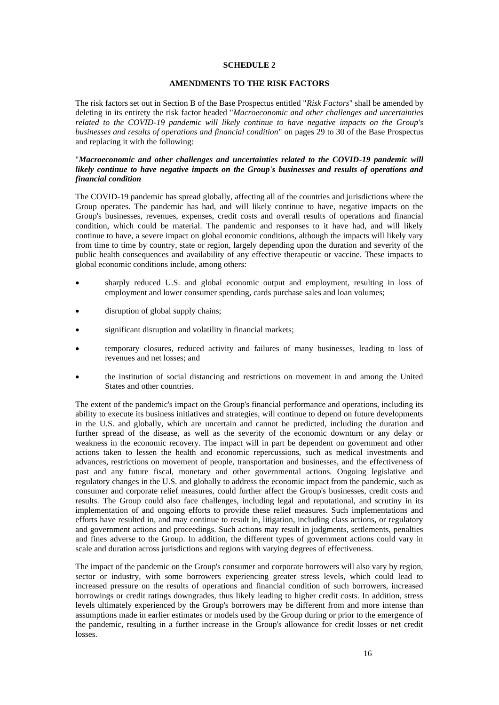## **SCHEDULE 2**

## **AMENDMENTS TO THE RISK FACTORS**

The risk factors set out in Section B of the Base Prospectus entitled "*Risk Factors*" shall be amended by deleting in its entirety the risk factor headed "*Macroeconomic and other challenges and uncertainties related to the COVID-19 pandemic will likely continue to have negative impacts on the Group's businesses and results of operations and financial condition*" on pages 29 to 30 of the Base Prospectus and replacing it with the following:

## "*Macroeconomic and other challenges and uncertainties related to the COVID-19 pandemic will likely continue to have negative impacts on the Group's businesses and results of operations and financial condition*

The COVID-19 pandemic has spread globally, affecting all of the countries and jurisdictions where the Group operates. The pandemic has had, and will likely continue to have, negative impacts on the Group's businesses, revenues, expenses, credit costs and overall results of operations and financial condition, which could be material. The pandemic and responses to it have had, and will likely continue to have, a severe impact on global economic conditions, although the impacts will likely vary from time to time by country, state or region, largely depending upon the duration and severity of the public health consequences and availability of any effective therapeutic or vaccine. These impacts to global economic conditions include, among others:

- sharply reduced U.S. and global economic output and employment, resulting in loss of employment and lower consumer spending, cards purchase sales and loan volumes;
- disruption of global supply chains;
- significant disruption and volatility in financial markets;
- temporary closures, reduced activity and failures of many businesses, leading to loss of revenues and net losses; and
- the institution of social distancing and restrictions on movement in and among the United States and other countries.

The extent of the pandemic's impact on the Group's financial performance and operations, including its ability to execute its business initiatives and strategies, will continue to depend on future developments in the U.S. and globally, which are uncertain and cannot be predicted, including the duration and further spread of the disease, as well as the severity of the economic downturn or any delay or weakness in the economic recovery. The impact will in part be dependent on government and other actions taken to lessen the health and economic repercussions, such as medical investments and advances, restrictions on movement of people, transportation and businesses, and the effectiveness of past and any future fiscal, monetary and other governmental actions. Ongoing legislative and regulatory changes in the U.S. and globally to address the economic impact from the pandemic, such as consumer and corporate relief measures, could further affect the Group's businesses, credit costs and results. The Group could also face challenges, including legal and reputational, and scrutiny in its implementation of and ongoing efforts to provide these relief measures. Such implementations and efforts have resulted in, and may continue to result in, litigation, including class actions, or regulatory and government actions and proceedings. Such actions may result in judgments, settlements, penalties and fines adverse to the Group. In addition, the different types of government actions could vary in scale and duration across jurisdictions and regions with varying degrees of effectiveness.

The impact of the pandemic on the Group's consumer and corporate borrowers will also vary by region, sector or industry, with some borrowers experiencing greater stress levels, which could lead to increased pressure on the results of operations and financial condition of such borrowers, increased borrowings or credit ratings downgrades, thus likely leading to higher credit costs. In addition, stress levels ultimately experienced by the Group's borrowers may be different from and more intense than assumptions made in earlier estimates or models used by the Group during or prior to the emergence of the pandemic, resulting in a further increase in the Group's allowance for credit losses or net credit losses.